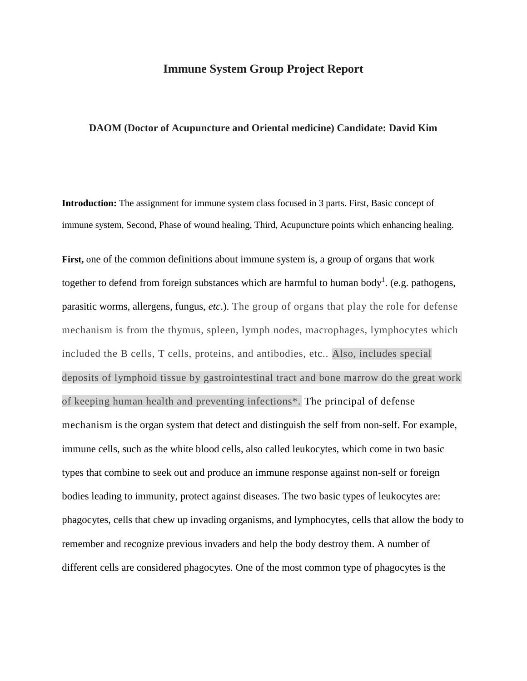## **Immune System Group Project Report**

## **DAOM (Doctor of Acupuncture and Oriental medicine) Candidate: David Kim**

**Introduction:** The assignment for immune system class focused in 3 parts. First, Basic concept of immune system, Second, Phase of wound healing, Third, Acupuncture points which enhancing healing.

**First,** one of the common definitions about immune system is, a group of organs that work together to defend from foreign substances which are harmful to human body<sup>1</sup>. (e.g. [pathogens,](https://www.biology-online.org/dictionary/Pathogen) parasitic worms, [allergens,](https://www.biology-online.org/dictionary/Allergen) fungus, *etc*.). The group of organs that play the role for defense mechanism is from the thymus, spleen, lymph nodes, macrophages, lymphocytes which included the B cells, T cells, proteins, and antibodies, etc.. Also, includes special deposits of lymphoid tissue by gastrointestinal tract and bone marrow do the great work of keeping human health and preventing infections\*. The principal of defense mechanism is the [organ system](https://www.biology-online.org/dictionary/Organ_system) that detect and distinguish the self from non-self. For example, immune cells, such as the [white blood cells,](https://www.biology-online.org/dictionary/White_blood_cell) also called leukocytes, which come in two basic types that combine to seek out and produce an immune response against non-self or foreign bodies leading to [immunity,](https://www.biology-online.org/dictionary/Immunity) protect against [diseases.](https://www.biology-online.org/dictionary/Disease) The two basic types of leukocytes are: phagocytes, cells that chew up invading organisms, and lymphocytes, cells that allow the body to remember and recognize previous invaders and help the body destroy them. A number of different cells are considered phagocytes. One of the most common type of phagocytes is the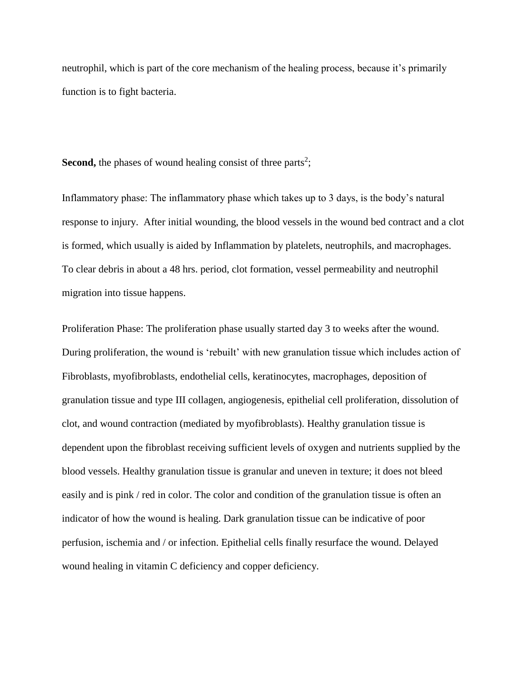neutrophil, which is part of the core mechanism of the healing process, because it's primarily function is to fight bacteria.

**Second,** the phases of wound healing consist of three parts<sup>2</sup>;

Inflammatory phase: The inflammatory phase which takes up to 3 days, is the body's natural response to injury. After initial wounding, the blood vessels in the wound bed contract and a clot is formed, which usually is aided by Inflammation by platelets, neutrophils, and macrophages. To clear debris in about a 48 hrs. period, clot formation, vessel permeability and neutrophil migration into tissue happens.

Proliferation Phase: The proliferation phase usually started day 3 to weeks after the wound. During proliferation, the wound is 'rebuilt' with new granulation tissue which includes action of Fibroblasts, myofibroblasts, endothelial cells, keratinocytes, macrophages, deposition of granulation tissue and type III collagen, angiogenesis, epithelial cell proliferation, dissolution of clot, and wound contraction (mediated by myofibroblasts). Healthy granulation tissue is dependent upon the [fibroblast](http://www.clinimed.co.uk/woundcare/glossary.aspx#Fibroblast) receiving sufficient levels of oxygen and nutrients supplied by the blood vessels. Healthy granulation tissue is granular and uneven in texture; it does not bleed easily and is pink / red in color. The color and condition of the granulation tissue is often an indicator of how the wound is healing. Dark granulation tissue can be indicative of poor perfusion, ischemia and / or infection. Epithelial cells finally resurface the wound. Delayed wound healing in vitamin C deficiency and copper deficiency.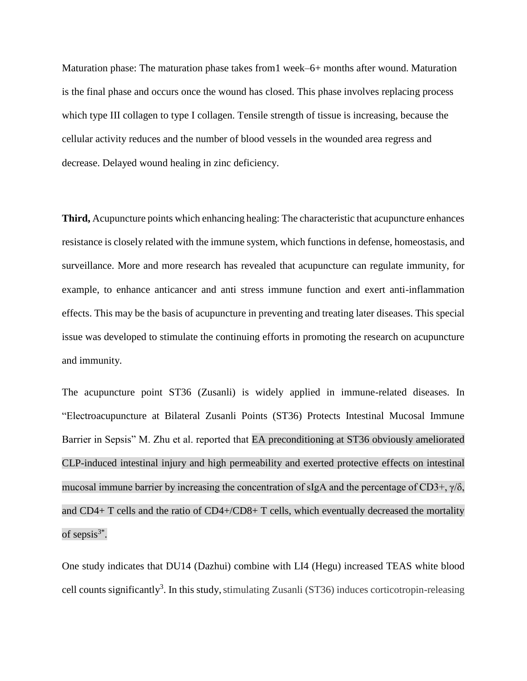Maturation phase: The maturation phase takes from1 week–6+ months after wound. Maturation is the final phase and occurs once the wound has closed. This phase involves replacing process which type III collagen to type I collagen. Tensile strength of tissue is increasing, because the cellular activity reduces and the number of blood vessels in the wounded area regress and decrease. Delayed wound healing in zinc deficiency.

**Third,** Acupuncture points which enhancing healing: The characteristic that acupuncture enhances resistance is closely related with the immune system, which functions in defense, homeostasis, and surveillance. More and more research has revealed that acupuncture can regulate immunity, for example, to enhance anticancer and anti stress immune function and exert anti-inflammation effects. This may be the basis of acupuncture in preventing and treating later diseases. This special issue was developed to stimulate the continuing efforts in promoting the research on acupuncture and immunity.

The acupuncture point ST36 (Zusanli) is widely applied in immune-related diseases. In "Electroacupuncture at Bilateral Zusanli Points (ST36) Protects Intestinal Mucosal Immune Barrier in Sepsis" M. Zhu et al. reported that EA preconditioning at ST36 obviously ameliorated CLP-induced intestinal injury and high permeability and exerted protective effects on intestinal mucosal immune barrier by increasing the concentration of sIgA and the percentage of CD3+,  $\gamma/\delta$ , and CD4+ T cells and the ratio of CD4+/CD8+ T cells, which eventually decreased the mortality of sepsis $3^*$ .

One study indicates that DU14 (Dazhui) combine with LI4 (Hegu) increased TEAS white blood cell counts significantly<sup>3</sup>. In this study, stimulating Zusanli (ST36) induces corticotropin-releasing